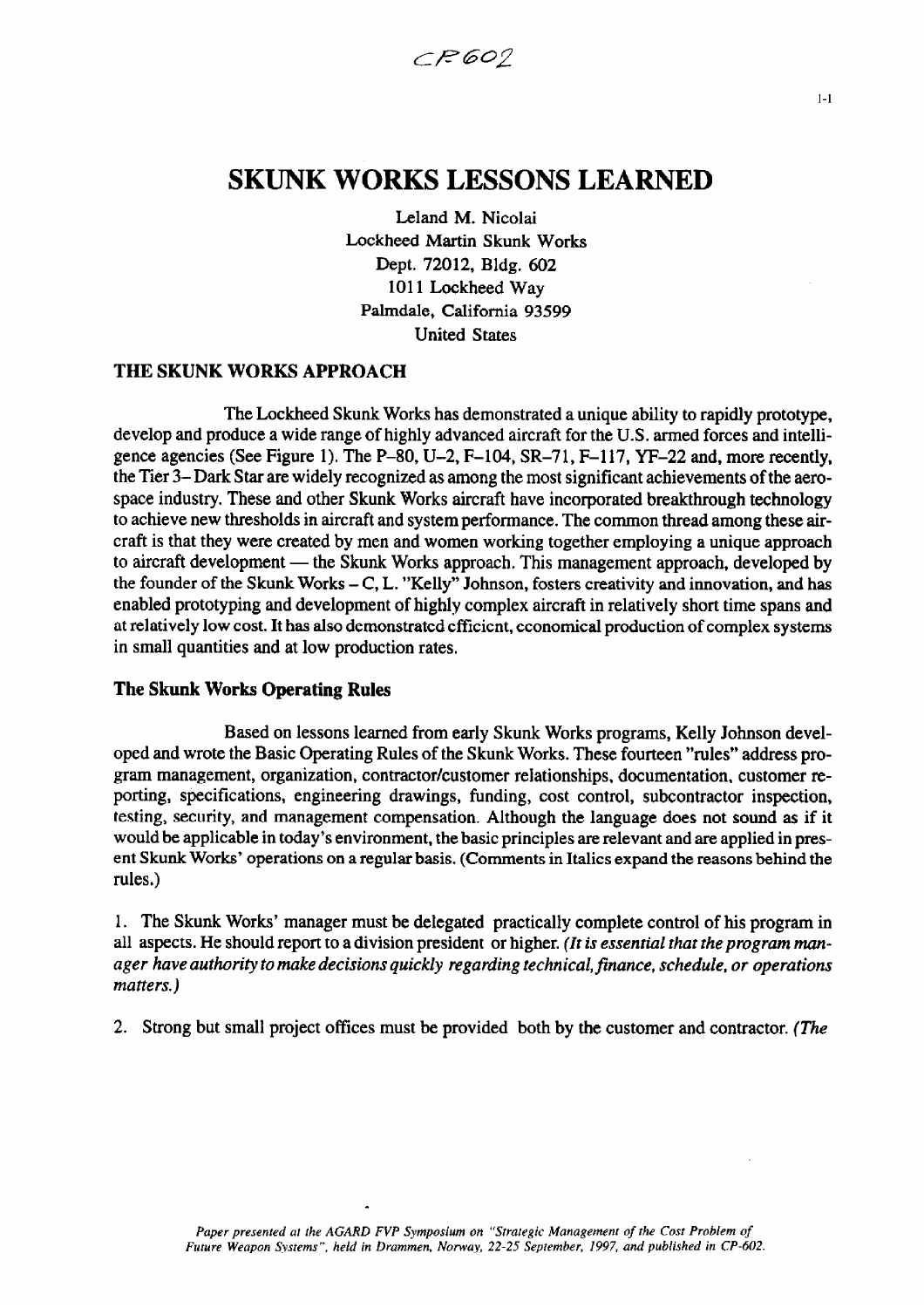# <span id="page-0-0"></span>SKUNK WORKS LESSONS LEARNED

Leland M. Nicolai Lockheed Martin Skunk Works Dept. 72012, Bldg. 602 1011 Lockheed Way Palmdale, California 93599 United States

## THE SKUNK WORKS APPROACH

The Lockheed Skunk Works has demonstrated a unique ability to rapidly prototype, develop and produce a wide range of highly advanced aircraft for the U.S. armed forces and intelligence agencies (See Figure 1). The P-80, U-2, F-104, SR-71, F-117, YF-22 and, more recently, the Tier 3-Dark Star are widely recognized as among the most significant achievements of the aerospace industry. These and other Skunk Works aircraft have incorporated breakthrough technology to achieve new thresholds in aircraft and system performance. The common thread among these aircraft is that they were created by men and women working together employing a unique approach to aircraft development — the Skunk Works approach. This management approach, developed by the founder of the Skunk Works - C, L. "Kelly" Johnson, fosters creativity and innovation, and has enabled prototyping and development of highly complex aircraft in relatively short time spans and at relatively low cost. It has also demonstrated efficient, economical production of complex systems in small quantities and at low production rates.

#### The Skunk Works Operating Rules

Based on lessons learned from early Skunk Works programs, Kelly Johnson developed and wrote the Basic Operating Rules of the Skunk Works. These fourteen "rules" address program management, organization, contractor/customer relationships, documentation, customer reporting, specifications, engineering drawings, funding, cost control, subcontractor inspection, testing, security, and management compensation. Although the language does not sound as if it would be applicable in today's environment, the basic principles are relevant and are applied in present Skunk Works' operations on a regular basis, (Comments in Italics expand the reasons behind the rules.)

1. The Skunk Works' manager must be delegated practically complete control of his program in all aspects. He should report to a division president or higher. (It is essential that the program manager have authority to make decisions quickly regarding technical, finance, schedule, or operations matters.)

2. Strong but small project offices must be provided both by the customer and contractor. (The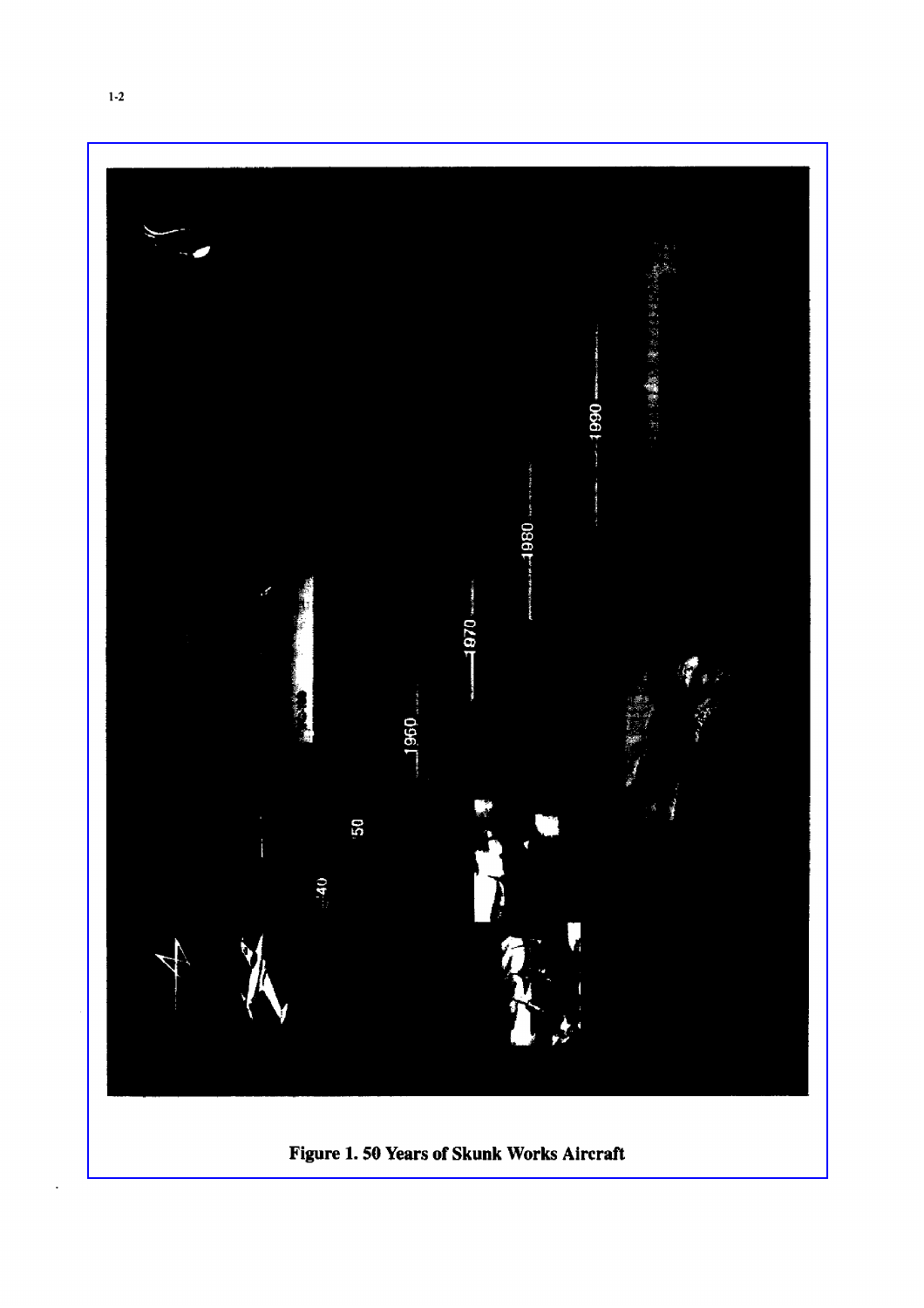

[Figure 1.50 Years of Skunk Works Aircraft](#page-0-0)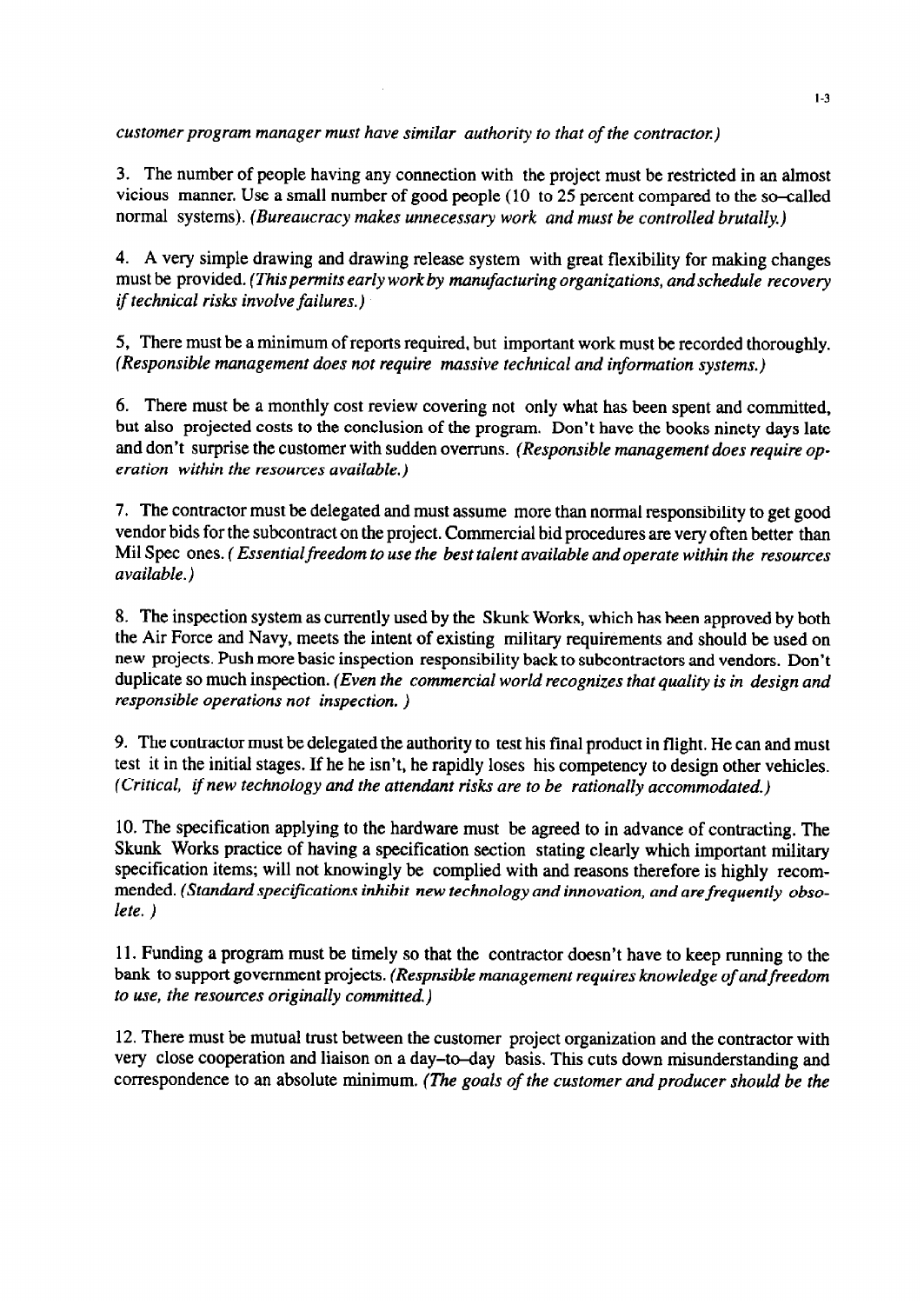customer program manager must have similar authority to that of the contractor.)

3. The number of people having any connection with the project must be restricted in an almost vicious manner. Use a small number of good people (10 to 25 percent compared to the so-called normal systems). (Bureaucracy makes unnecessary work and must be controlled brutally.)

4. A very simple drawing and drawing release system with great flexibility for making changes must be provided. (This permits early work by manufacturing organizations, and schedule recovery if technical risks involve failures.)

5, There must be a minimum of reports required, but important work must be recorded thoroughly. (Responsible management does not require massive technical and information systems.)

6. There must be a monthly cost review covering not only what has been spent and committed, but also projected costs to the conclusion of the program. Don't have the books ninety days late and don't surprise the customer with sudden overruns. (Responsible management does require operation within the resources available.)

7. The contractor must be delegated and must assume more than normal responsibility to get good vendor bids for the subcontract on the project. Commercial bid procedures are very often better than Mil Spec ones. (*Essential freedom to use the best talent available and operate within the resources* available.)

8. The inspection system as currently used by the Skunk Works, which has been approved by both the Air Force and Navy, meets the intent of existing military requirements and should be used on new projects. Push more basic inspection responsibility back to subcontractors and vendors. Don't duplicate so much inspection. (Even the commercial world recognizes that quality is in design and responsible operations not inspection. )

9. The contractor must be delegated the authority to test his final product in flight. He can and must test it in the initial stages. If he he isn't, he rapidly loses his competency to design other vehicles. (Critical, if new technology and the attendant risks are to be rationally accommodated.)

10. The specification applying to the hardware must be agreed to in advance of contracting. The Skunk Works practice of having a specification section stating clearly which important military specification items; will not knowingly be complied with and reasons therefore is highly recommended. (Standard specifications inhibit new technology and innovation, and are frequently obsolete. )

11. Funding a program must be timely so that the contractor doesn't have to keep running to the bank to support government projects. (Respnsible management requires knowledge of and freedom to use, the resources originally committed.)

12. There must be mutual trust between the customer project organization and the contractor with very close cooperation and liaison on a day-to-day basis. This cuts down misunderstanding and correspondence to an absolute minimum. (The goals of the customer and producer should be the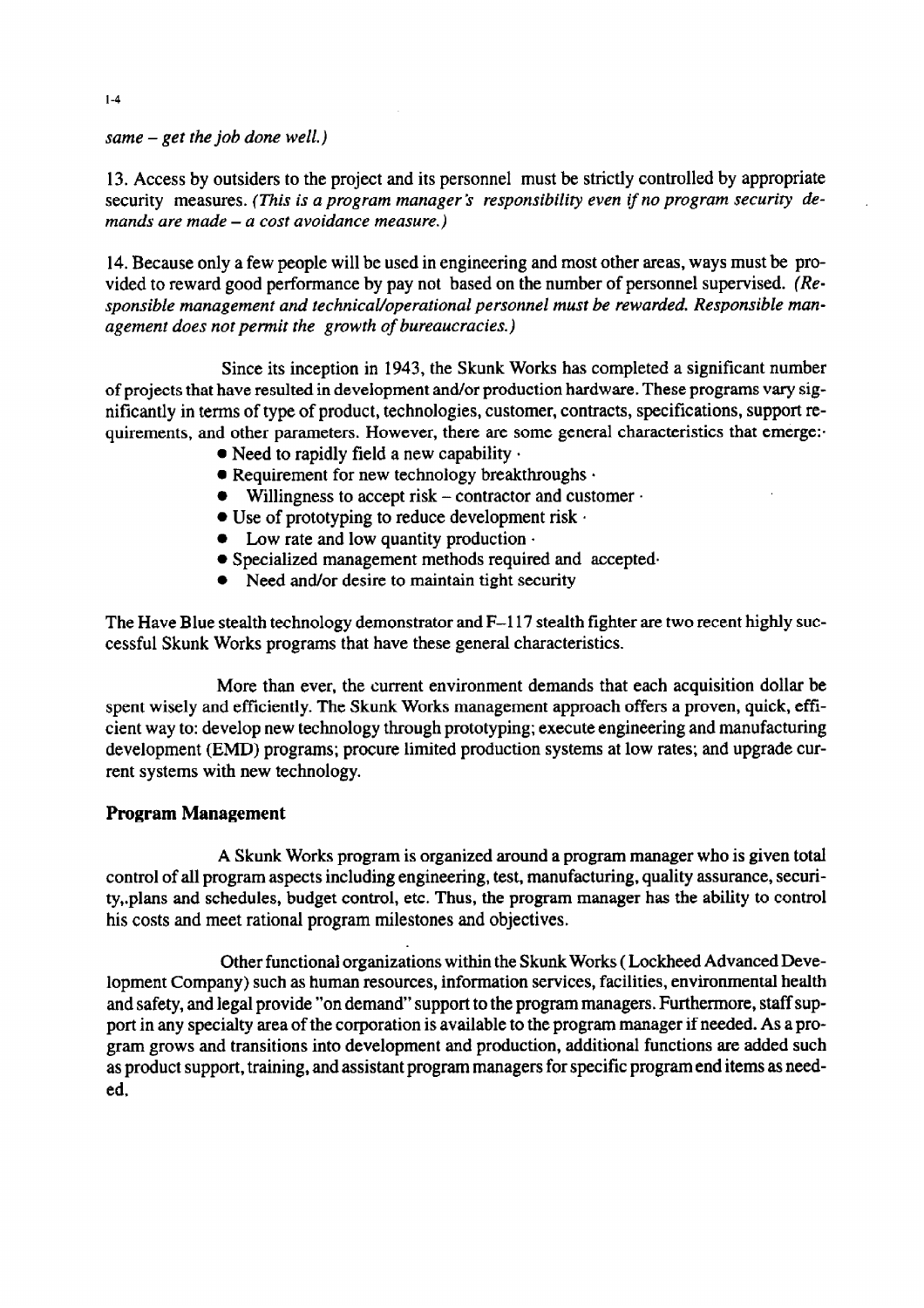same  $-$  get the job done well.)

13. Access by outsiders to the project and its personnel must be strictly controlled by appropriate security measures. (This is a program manager's responsibility even if no program security demands are made - a cost avoidance measure.)

14. Because only a few people will be used in engineering and most other areas, ways must be provided to reward good performance by pay not based on the number of personnel supervised. (Responsible management and technical/operational personnel must be rewarded. Responsible management does not permit the growth of bureaucracies.)

Since its inception in 1943, the Skunk Works has completed a significant number of projects that have resulted in development and/or production hardware. These programs vary significantly in terms of type of product, technologies, customer, contracts, specifications, support requirements, and other parameters. However, there are some general characteristics that emerge:

- $\bullet$  Need to rapidly field a new capability  $\cdot$
- $\bullet$  Requirement for new technology breakthroughs  $\cdot$
- $\bullet$  Willingness to accept risk contractor and customer .
- $\bullet$  Use of prototyping to reduce development risk  $\cdot$
- $\bullet$  Low rate and low quantity production .
- Specialized management methods required and accepted.
- $\bullet$  Need and/or desire to maintain tight security

The Have Blue stealth technology demonstrator and  $F-117$  stealth fighter are two recent highly successful Skunk Works programs that have these general characteristics.

More than ever, the current environment demands that each acquisition dollar be spent wisely and efficiently. The Skunk Works management approach offers a proven, quick, efficient way to: develop new technology through prototyping; execute engineering and manufacturing development (EMD) programs; procure limited production systems at low rates; and upgrade current systems with new technology.

## Program Management

A Skunk Works program is organized around a program manager who is given total control of all program aspects including engineering, test, manufacturing, quality assurance, security,.plans and schedules, budget control, etc. Thus, the program manager has the ability to control his costs and meet rational program milestones and objectives.

Other functional organizations within the Skunk Works ( Lockheed Advanced Development Company) such as human resources, information services, facilities, environmental health and safety, and legal provide "on demand" support to the program managers. Furthermore, staff support in any specialty area of the corporation is available to the program manager if needed. As a program grows and transitions into development and production, additional functions are added such as product support, training, and assistant program managers for specific program end items as needed,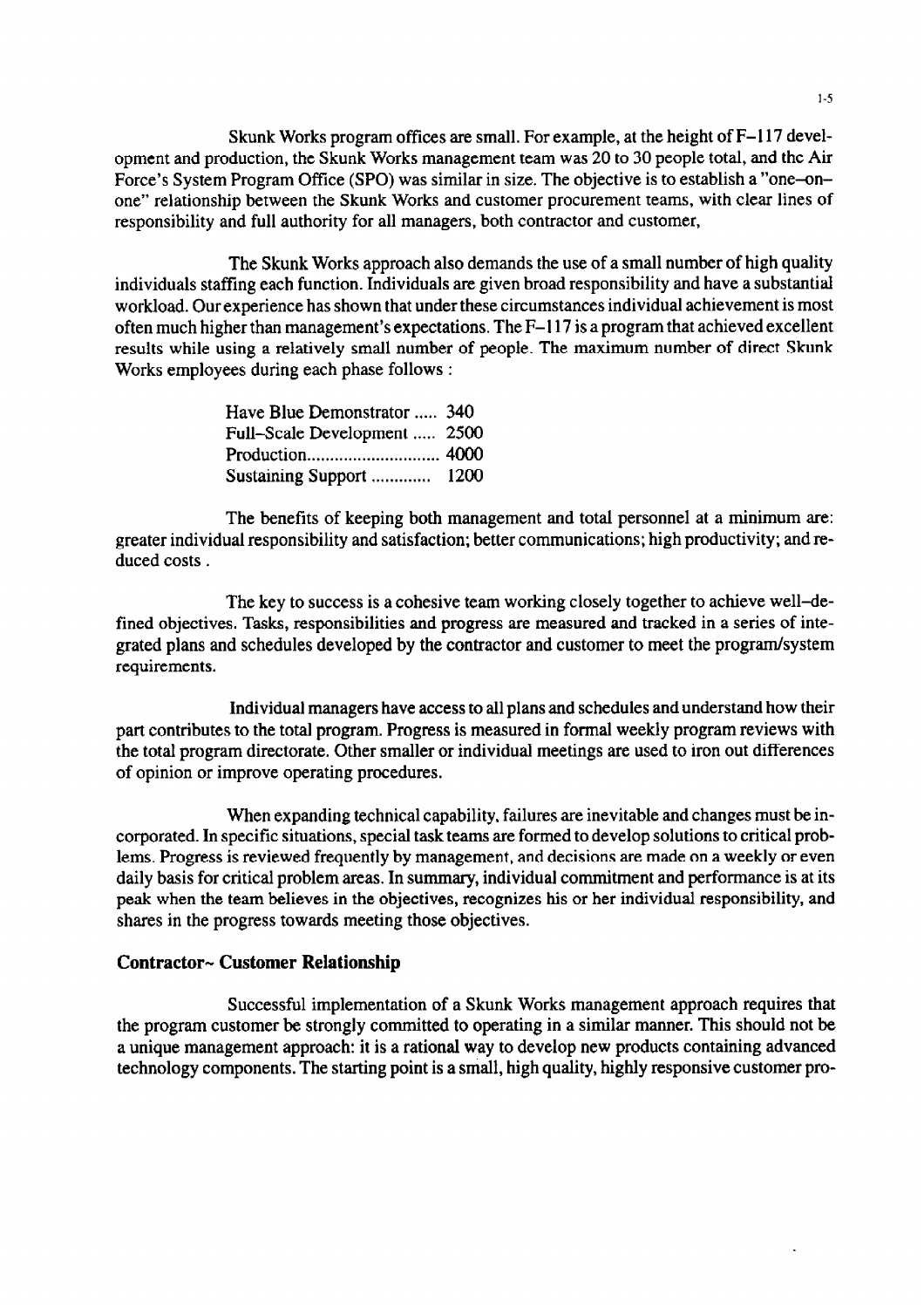Skunk Works program offices are small. For example, at the height of F- 117 development and production, the Skunk Works management team was 20 to 30 people total, and the Air Force's System Program Office (SPO) was similar in size. The objective is to establish a "one-onone" relationship between the Skunk Works and customer procurement teams, with clear lines of responsibility and full authority for all managers, both contractor and customer,

The Skunk Works approach also demands the use of a small number of high quality individuals staffing each function. Individuals are given broad responsibility and have a substantial workload. Our experience has shown that under these circumstances individual achievement is most often much higher than management's expectations. The F-l 17 is a program that achieved excellent results while using a relatively small number of people. The maximum number of direct Skunk Works employees during each phase follows :

| Have Blue Demonstrator  340  |  |
|------------------------------|--|
| Full-Scale Development  2500 |  |
|                              |  |
| Sustaining Support  1200     |  |

The benefits of keeping both management and total personnel at a minimum are: greater individual responsibility and satisfaction; better communications; high productivity; and reduced costs .

The key to success is a cohesive team working closely together to achieve well-defined objectives. Tasks, responsibilities and progress are measured and tracked in a series of integrated plans and schedules developed by the contractor and customer to meet the program/system requirements.

Individual managers have access to all plans and schedules and understand how their part contributes to the total program. Progress is measured in formal weekly program reviews with the total program directorate. Other smaller or individual meetings are used to iron out differences of opinion or improve operating procedures.

When expanding technical capability, failures are inevitable and changes must be incorporated. In specific situations, special task teams are formed to develop solutions to critical problems. Progress is reviewed frequently by management, and decisions are made on a weekly or even daily basis for critical problem areas. In summary, individual commitment and performance is at its peak when the team believes in the objectives, recognizes his or her individual responsibility, and shares in the progress towards meeting those objectives.

## Contractor- Customer Relationship

Successful implementation of a Skunk Works management approach requires that the program customer be strongly committed to operating in a similar manner. This should not he a unique management approach: it is a rational way to develop new products containing advanced technology components. The starting point is a small, high quality, highly responsive customer pro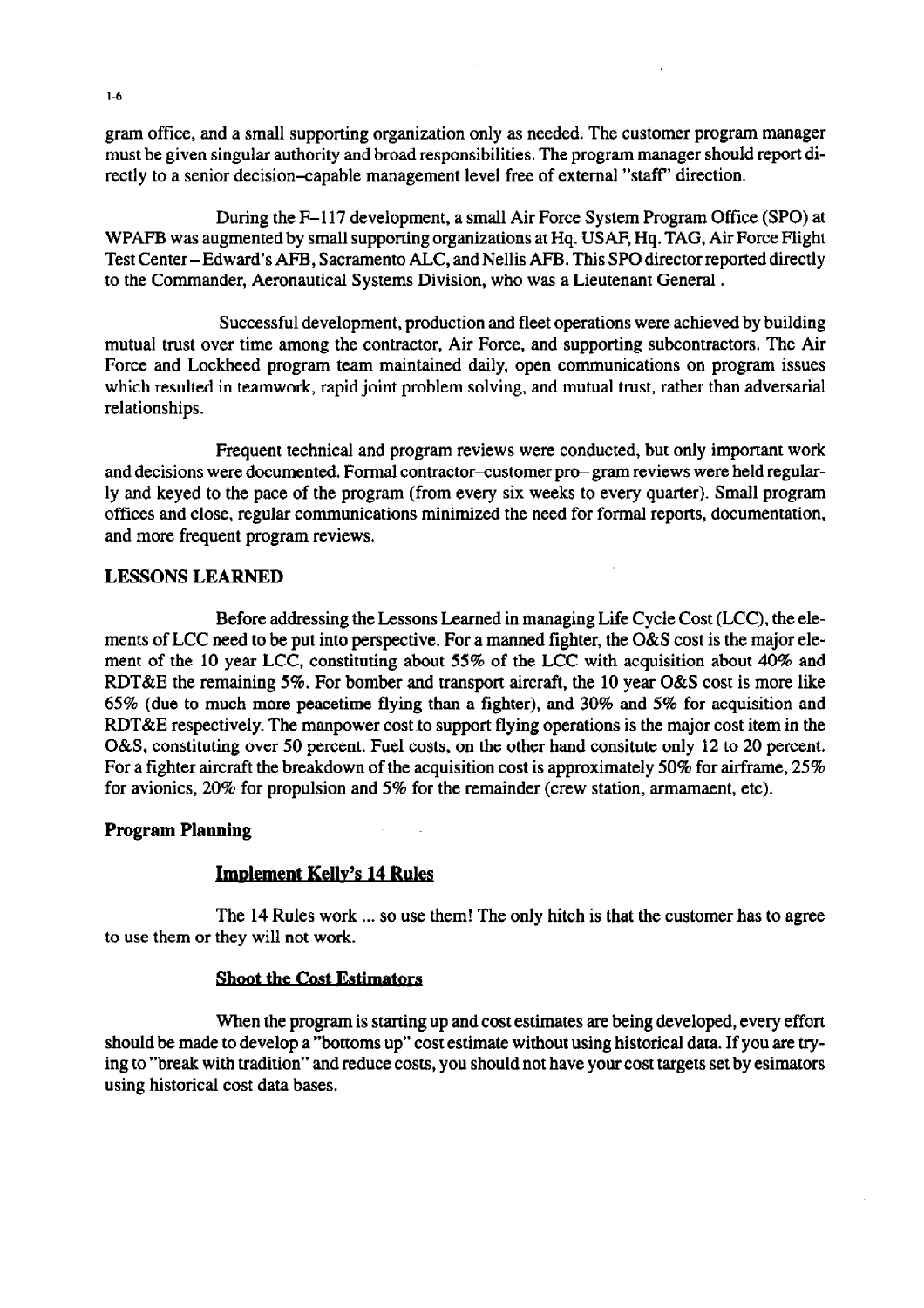gram office, and a small supporting organization only as needed. The customer program manager must be given singular authority and broad responsibilities. The program manager should report directly to a senior decision-capable management level free of external "staff" direction.

During the F-l 17 development, a small Air Force System Program Office (SPO) at WPAFB was augmented by small supporting organizations at Hq. USAF, Hq. TAG, Air Force Flight Test Center - Edward's AFB, Sacramento ALC, and Nellis AFB. This SPO director reported directly to the Commander, Aeronautical Systems Division, who was a Lieutenant General .

Successful development, production and fleet operations were achieved by building mutual trust over time among the contractor, Air Force, and supporting subcontractors. The Air Force and Lockheed program team maintained daily, open communications on program issues which resulted in teamwork, rapid joint problem solving, and mutual trust, rather than adversarial relationships.

Frequent technical and program reviews were conducted, but only important work and decisions were documented. Formal contractor-customer pro- gram reviews were held regularly and keyed to the pace of the program (from every six weeks to every quarter). Small program offices and close, regular communications minimized the need for formal reports, documentation, and more frequent program reviews.

## LESSONS LEARNED

Before addressing the Lessons Learned in managing Life Cycle Cost (LCC), the elements of LCC need to be put into perspective. For a manned fighter, the O&S cost is the major element of the 10 year LCC, constituting about 55% of the LCC with acquisition about 40% and RDT&E the remaining 5%. For bomber and transport aircraft, the 10 year O&S cost is more like 65% (due to much more peacetime flying than a fighter), and 30% and 5% for acquisition and RDT&E respectively. The manpower cost to support flying operations is the major cost item in the O&S, constituting over 50 percent. Fuel costs, on the other hand consitute only 12 to 20 percent. For a fighter aircraft the breakdown of the acquisition cost is approximately 50% for airframe, 25% for avionics, 20% for propulsion and 5% for the remainder (crew station, armamaent, etc).

## Program Planning

## **Implement Kelly's 14 Rules**

The 14 Rules work ... so use them! The only hitch is that the customer has to agree to use them or they will not work.

#### **Shoot the Cost Estimators**

When the program is starting up and cost estimates are being developed, every effort should be made to develop a "bottoms up" cost estimate without using historical data. If you are trying to "break with tradition" and reduce costs, you should not have your cost targets set by esimators using historical cost data bases.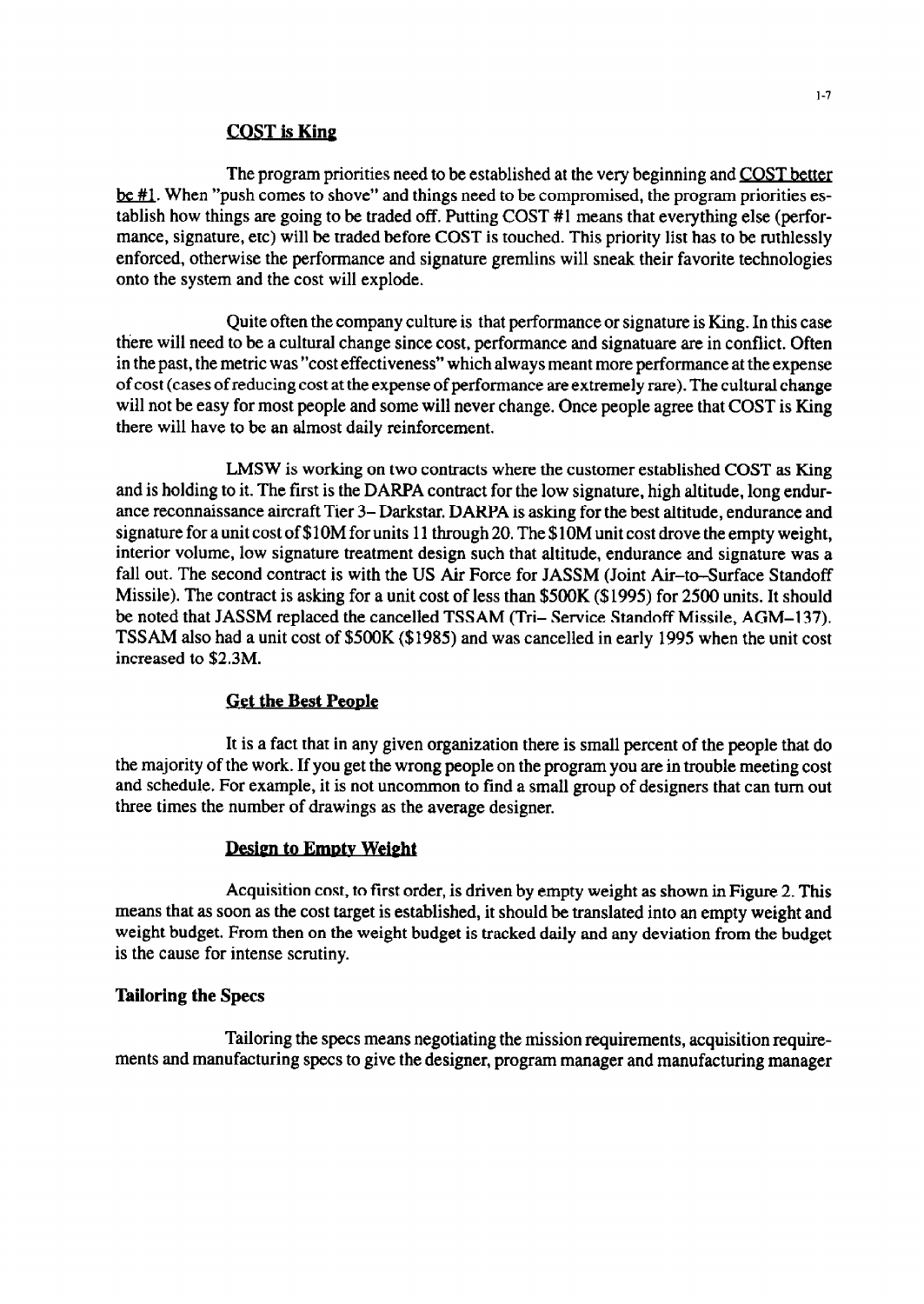## COST is King

The program priorities need to be established at the very beginning and COST better be  $\#1$ . When "push comes to shove" and things need to be compromised, the program priorities establish how things are going to be traded off. Putting COST #l means that everything else (performance, signature, etc) will be traded before COST is touched. This priority list has to be ruthlessly enforced, otherwise the performance and signature gremlins will sneak their favorite technologies onto the system and the cost will explode.

Quite often the company culture is that performance or signature is King. In this case there will need to be a cultural change since cost, performance and signatuare are in conflict. Often in the past, the metric was "cost effectiveness" which always meant more performance at the expense of cost (cases of reducing cost at the expense of performance are extremely rare). The cultural change will not be easy for most people and some will never change. Once people agree that COST is King there will have to be an almost daily reinforcement.

LMSW is working on two contracts where the customer established COST as King and is holding to it. The first is the DARPA contract for the low signature, high altitude, long endurance reconnaissance aircraft Tier 3- Darkstar. DARPA is asking for the best altitude, endurance and signature for a unit cost of \$lOM for units 11 through 20. The \$lOM unit cost drove the empty weight, interior volume, low signature treatment design such that altitude, endurance and signature was a fall out. The second contract is with the US Air Force for JASSM (Joint Air-to-Surface Standoff Missile). The contract is asking for a unit cost of less than \$5OOK (\$1995) for 2500 units. It should be noted that JASSM replaced the cancelled TSSAM (Tri- Service Standoff Missile, AGM-137), TSSAM also had a unit cost of \$5OOK (\$1985) and was cancelled in early 1995 when the unit cost increased to \$2.3M.

#### **Get the Best People**

It is a fact that in any given organization there is small percent of the people that do the majority of the work. If you get the wrong people on the program you are in trouble meeting cost and schedule. For example, it is not uncommon to find a small group of designers that can turn out three times the number of drawings as the average designer.

## **Design to Empty Weight**

Acquisition cost, to first order, is driven by empty weight as shown in Figure 2. This means that as soon as the cost target is established, it should be translated into an empty weight and weight budget. From then on the weight budget is tracked daily and any deviation from the budget is the cause for intense scrutiny.

## Tailoring the Specs

Tailoring the specs means negotiating the mission requirements, acquisition requirements and manufacturing specs to give the designer, program manager and manufacturing manager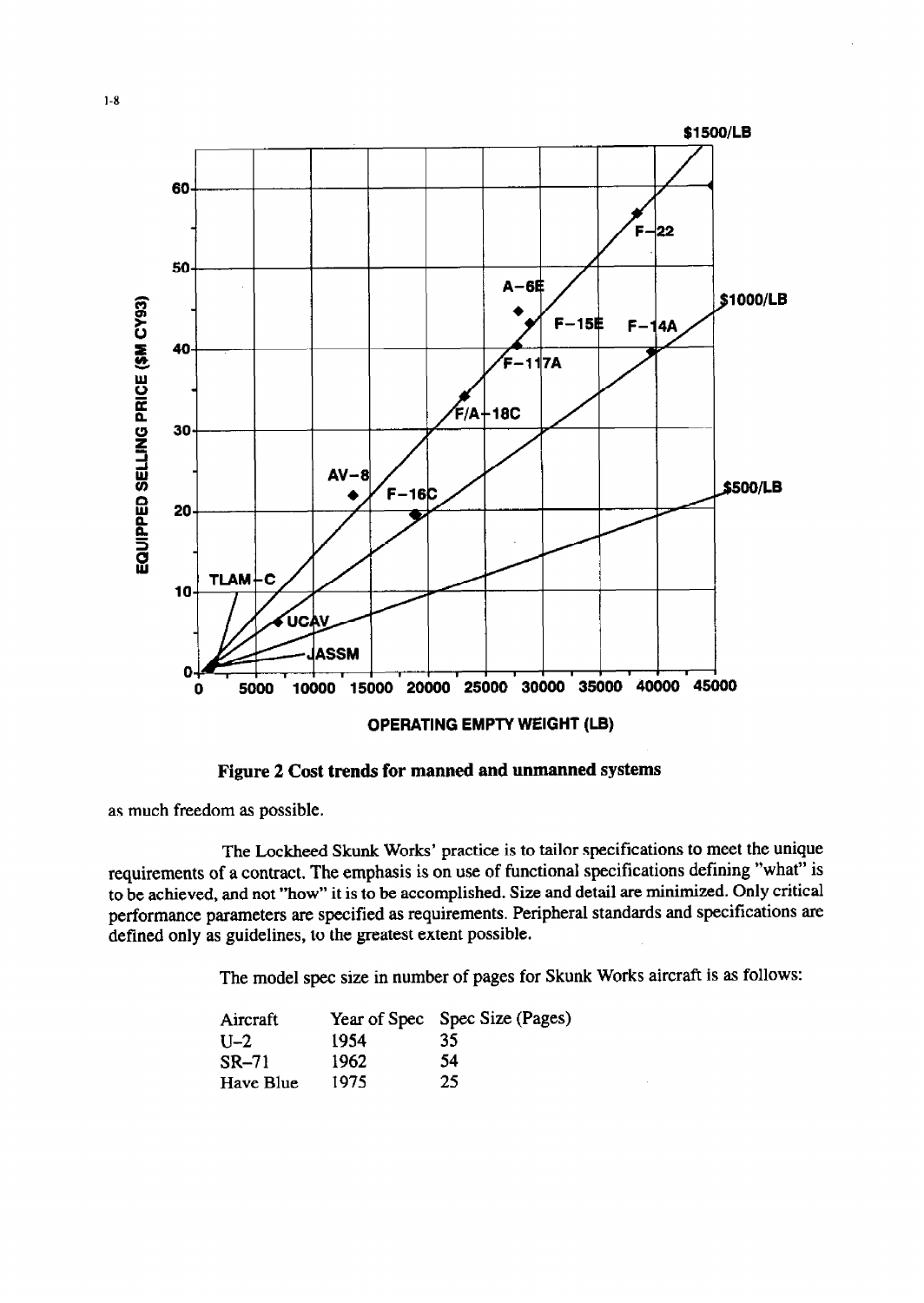

Figure 2 Cost trends for manned and unmanned systems

as much freedom as possible.

The Lockheed Skunk Works' practice is to tailor specifications to meet the unique requirements of a contract, The emphasis is on use of functional specifications defining "what" is to be achieved, and not "how" it is to be accomplished. Size and detail are minimized. Only critical performance parameters are specified as requirements. Peripheral standards and specifications are defined only as guidelines, to the greatest extent possible.

The model spec size in number of pages for Skunk Works aircraft is as follows:

| Aircraft  |      | Year of Spec Spec Size (Pages) |
|-----------|------|--------------------------------|
| $11 - 2$  | 1954 | 35                             |
| $SR-71$   | 1962 | 54                             |
| Have Blue | 1975 | 25                             |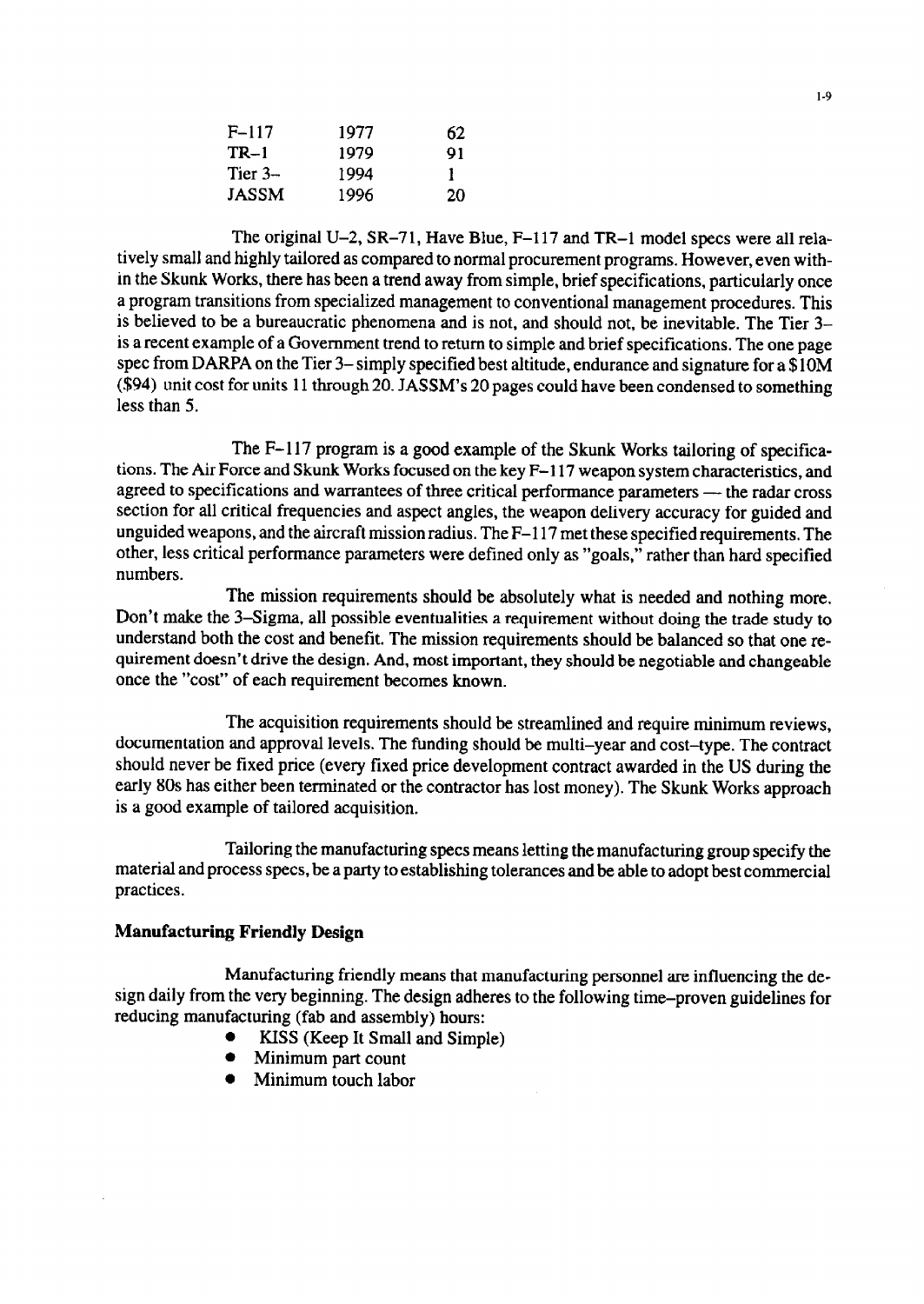| $F-117$   | 1977 | 62 |
|-----------|------|----|
| $TR-1$    | 1979 | 91 |
| Tier $3-$ | 1994 |    |
| JASSM     | 1996 | 20 |

The original U-2, SR-71, Have Blue, F-117 and TR-1 model specs were all relatively small and highly tailored as compared to normal procurement programs. However, even within the Skunk Works, there has been a trend away from simple, brief specifications, particularly once a program transitions from specialized management to conventional management procedures. This is believed to be a bureaucratic phenomena and is not, and should not, be inevitable. The Tier 3 is a recent example of a Government trend to return to simple and brief specifications. The one page spec from DARPA on the Tier 3- simply specified best altitude, endurance and signature for a \$10M (\$94) unit cost for units 11 through 20. JASSM's 20 pages could have been condensed to something less than 5.

The F-l 17 program is a good example of the Skunk Works tailoring of specifications. The Air Force and Skunk Works focused on the key F-l 17 weapon system characteristics, and agreed to specifications and warrantees of three critical performance parameters - the radar cross section for all critical frequencies and aspect angles, the weapon delivery accuracy for guided and unguided weapons, and the aircraft mission radius. The F-l 17 met these specified requirements. The other, less critical performance parameters were defined only as "goals," rather than hard specified numbers.

The mission requirements should be absolutely what is needed and nothing more. Don't make the 3-Sigma, all possible eventualities a requirement without doing the trade study to understand both the cost and benefit. The mission requirements should be balanced so that one requirement doesn't drive the design. And, most important, they should be negotiable and changeable once the "cost" of each requirement becomes known.

The acquisition requirements should be streamlined and require minimum reviews, documentation and approval levels. The funding should be multi-year and cost-type. The contract should never be fixed price (every fixed price development contract awarded in the US during the early 80s has either been terminated or the contractor has lost money). The Skunk Works approach is a good example of tailored acquisition.

Tailoring the manufacturing specs means letting the manufacturing group specify the material and process specs, be a party to establishing tolerances and be able to adopt best commercial practices.

## Manufacturing Friendly Design

Manufacturing friendly means that manufacturing personnel are influencing the design daily from the very beginning. The design adheres to the following time-proven guidelines for reducing manufacturing (fab and assembly) hours:

- KISS (Keep It Small and Simple)
- Minimum part count
- Minimum touch labor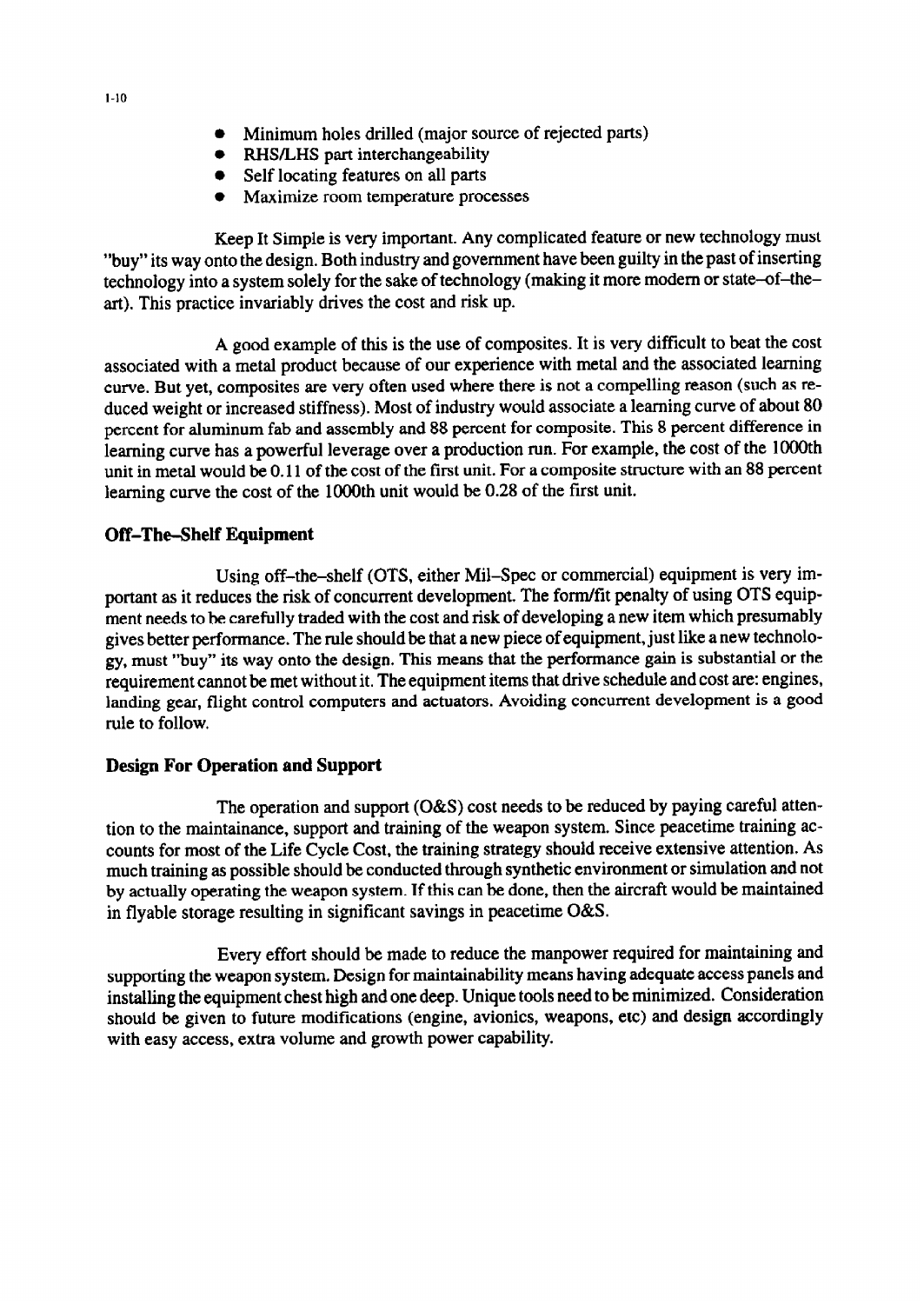- Minimum holes drilled (major source of rejected parts)
- RHS/LHS part interchangeability
- Self locating features on all parts
- Maximize room temperature processes

Keep It Simple is very important. Any complicated feature or new technology must "buy" its way onto the design. Both industry and government have been guilty in the past of inserting technology into a system solely for the sake of technology (making it more modem or state-of-theart). This practice invariably drives the cost and risk up.

A good example of this is the use of composites. It is very difficult to beat the cost associated with a metal product because of our experience with metal and the associated learning curve. But yet, composites are very often used where there is not a compelling reason (such as reduced weight or increased stiffness). Most of industry would associate a learning curve of about 80 percent for aluminum fab and assembly and 88 percent for composite. This 8 percent difference in learning curve has a powerful leverage over a production run. For example, the cost of the 1000th unit in metal would be  $0.11$  of the cost of the first unit. For a composite structure with an 88 percent learning curve the cost of the 1000th unit would be 0.28 of the first unit.

# Off-The-Shelf Equipment

Using off-the-shelf (OTS, either Mil-Spec or commercial) equipment is very important as it reduces the risk of concurrent development. The form/fit penalty of using OTS equipment needs to be carefully traded with the cost and risk of developing a new item which presumably gives better performance. The rule should be that a new piece of equipment, just like a new technology, must "buy" its way onto the design, This means that the performance gain is substantial or the requirement cannot be met without it. The equipment items that drive schedule and cost are: engines, landing gear, flight control computers and actuators. Avoiding concurrent development is a good rule to follow.

# Design For Operation and Support

The operation and support (O&S) cost needs to be reduced by paying careful attention to the maintainance, support and training of the weapon system. Since peacetime training accounts for most of the Life Cycle Cost, the training strategy should receive extensive attention. As much training as possible should be conducted through synthetic environment or simulation and not by actually operating the weapon system. If this can be done, then the aircraft would be maintained in flyable storage resulting in significant savings in peacetime O&S.

Every effort should be made to reduce the manpower required for maintaining and supporting the weapon system. Design for maintainability means having adequate access panels and installing the equipment chest high and one deep. Unique tools need to be minimised. Consideration should be given to future modifications (engine, avionics, weapons, etc) and design accordingly with easy access, extra volume and growth power capability.